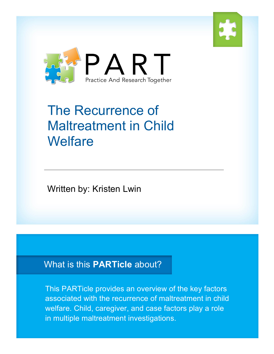



# The Recurrence of Maltreatment in Child **Welfare**

Written by: Kristen Lwin

### What is this **PARTicle** about?

This PARTicle provides an overview of the key factors associated with the recurrence of maltreatment in child welfare. Child, caregiver, and case factors play a role in multiple maltreatment investigations.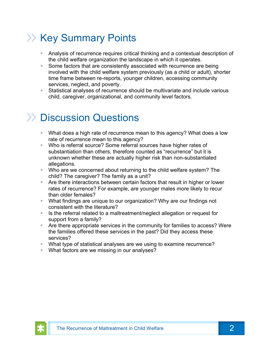# **XX Key Summary Points**

- § Analysis of recurrence requires critical thinking and a contextual description of the child welfare organization the landscape in which it operates.
- Some factors that are consistently associated with recurrence are being involved with the child welfare system previously (as a child or adult), shorter time frame between re-reports, younger children, accessing community services, neglect, and poverty.
- § Statistical analyses of recurrence should be multivariate and include various child, caregiver, organizational, and community level factors.

# >> Discussion Questions

- § What does a high rate of recurrence mean to this agency? What does a low rate of recurrence mean to this agency?
- Who is referral source? Some referral sources have higher rates of substantiation than others, therefore counted as "recurrence" but it is unknown whether these are actually higher risk than non-substantiated allegations.
- § Who are we concerned about returning to the child welfare system? The child? The caregiver? The family as a unit?
- Are there interactions between certain factors that result in higher or lower rates of recurrence? For example, are younger males more likely to recur than older females?
- § What findings are unique to our organization? Why are our findings not consistent with the literature?
- Is the referral related to a maltreatment/neglect allegation or request for support from a family?
- Are there appropriate services in the community for families to access? Were the families offered these services in the past? Did they access these services?
- § What type of statistical analyses are we using to examine recurrence?
- What factors are we missing in our analyses?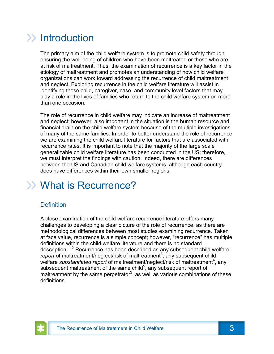# $\gg$  Introduction

The primary aim of the child welfare system is to promote child safety through ensuring the well-being of children who have been maltreated or those who are at risk of maltreatment. Thus, the examination of recurrence is a key factor in the etiology of maltreatment and promotes an understanding of how child welfare organizations can work toward addressing the recurrence of child maltreatment and neglect. Exploring recurrence in the child welfare literature will assist in identifying those child, caregiver, case, and community level factors that may play a role in the lives of families who return to the child welfare system on more than one occasion.

The role of recurrence in child welfare may indicate an increase of maltreatment and neglect; however, also important in the situation is the human resource and financial drain on the child welfare system because of the multiple investigations of many of the same families. In order to better understand the role of recurrence we are examining the child welfare literature for factors that are associated with recurrence rates. It is important to note that the majority of the large scale generalizable child welfare literature has been conducted in the US; therefore, we must interpret the findings with caution. Indeed, there are differences between the US and Canadian child welfare systems, although each country does have differences within their own smaller regions.

# What is Recurrence?

#### **Definition**

A close examination of the child welfare recurrence literature offers many challenges to developing a clear picture of the role of recurrence, as there are methodological differences between most studies examining recurrence. Taken at face value, recurrence is a simple concept; however, "recurrence" has multiple definitions within the child welfare literature and there is no standard description.<sup>1, 2</sup> Recurrence has been described as any subsequent child welfare report of maltreatment/neglect/risk of maltreatment<sup>3</sup>, any subsequent child welfare substantiated report of maltreatment/neglect/risk of maltreatment<sup>4</sup>, any subsequent maltreatment of the same child<sup>5</sup>, any subsequent report of maltreatment by the same perpetrator<sup>2</sup>, as well as various combinations of these definitions.

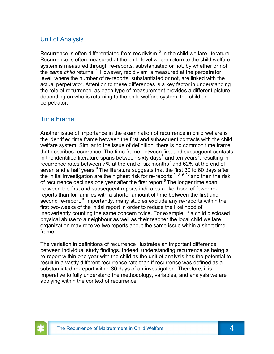#### Unit of Analysis

Recurrence is often differentiated from recidivism<sup>12</sup> in the child welfare literature. Recurrence is often measured at the child level where return to the child welfare system is measured through re-reports, substantiated or not, by whether or not the *same child* returns. <sup>2</sup> However, recidivism is measured at the perpetrator level, where the number of re-reports, substantiated or not, are linked with the actual perpetrator. Attention to these differences is a key factor in understanding the role of recurrence, as each type of measurement provides a different picture depending on who is returning to the child welfare system, the child or perpetrator.

#### Time Frame

Another issue of importance in the examination of recurrence in child welfare is the identified time frame between the first and subsequent contacts with the child welfare system. Similar to the issue of definition, there is no common time frame that describes recurrence. The time frame between first and subsequent contacts in the identified literature spans between sixty days<sup>6</sup> and ten years<sup>2</sup>, resulting in recurrence rates between  $7\%$  at the end of six months<sup>7</sup> and 62% at the end of seven and a half years. $8$  The literature suggests that the first 30 to 60 days after the initial investigation are the highest risk for re-reports,<sup>1, 3, 9, 10</sup> and then the risk of recurrence declines one year after the first report.<sup>5</sup> The longer time span between the first and subsequent reports indicates a likelihood of fewer rereports than for families with a shorter amount of time between the first and second re-report.<sup>10</sup> Importantly, many studies exclude any re-reports within the first two-weeks of the initial report in order to reduce the likelihood of inadvertently counting the same concern twice. For example, if a child disclosed physical abuse to a neighbour as well as their teacher the local child welfare organization may receive two reports about the same issue within a short time frame.

The variation in definitions of recurrence illustrates an important difference between individual study findings. Indeed, understanding recurrence as being a re-report within one year with the child as the unit of analysis has the potential to result in a vastly different recurrence rate than if recurrence was defined as a substantiated re-report within 30 days of an investigation. Therefore, it is imperative to fully understand the methodology, variables, and analysis we are applying within the context of recurrence.

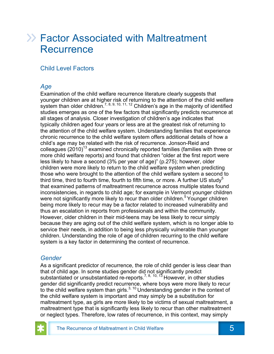### Factor Associated with Maltreatment **Recurrence**

#### Child Level Factors

#### *Age*

Examination of the child welfare recurrence literature clearly suggests that younger children are at higher risk of returning to the attention of the child welfare system than older children.<sup>7, 8, 9, 10, 11, 12</sup> Children's age in the majority of identified studies emerges as one of the few factors that significantly predicts recurrence at all stages of analysis. Closer investigation of children's age indicates that typically children aged four years or less are at the greatest risk of returning to the attention of the child welfare system. Understanding families that experience chronic recurrence to the child welfare system offers additional details of how a child's age may be related with the risk of recurrence. Jonson-Reid and colleagues  $(2010)^{13}$  examined chronically reported families (families with three or more child welfare reports) and found that children "older at the first report were less likely to have a second (3% per year of age)" (p.275); however, older children were more likely to return to the child welfare system when predicting those who were brought to the attention of the child welfare system a second to third time, third to fourth time, fourth to fifth time, or more. A further US study<sup>5</sup> that examined patterns of maltreatment recurrence across multiple states found inconsistencies, in regards to child age; for example in Vermont younger children were not significantly more likely to recur than older children.<sup>5</sup> Younger children being more likely to recur may be a factor related to increased vulnerability and thus an escalation in reports from professionals and within the community. However, older children in their mid-teens may be less likely to recur simply because they are aging out of the child welfare system, which is no longer able to service their needs, in addition to being less physically vulnerable than younger children. Understanding the role of age of children recurring to the child welfare system is a key factor in determining the context of recurrence.

#### *Gender*

As a significant predictor of recurrence, the role of child gender is less clear than that of child age. In some studies gender did not significantly predict substantiated or unsubstantiated re-reports.<sup>7, 8, 10, 13</sup> However, in other studies gender did significantly predict recurrence, where boys were more likely to recur to the child welfare system than girls. $3, 10$  Understanding gender in the context of the child welfare system is important and may simply be a substitution for maltreatment type, as girls are more likely to be victims of sexual maltreatment, a maltreatment type that is significantly less likely to recur than other maltreatment or neglect types. Therefore, low rates of recurrence, in this context, may simply

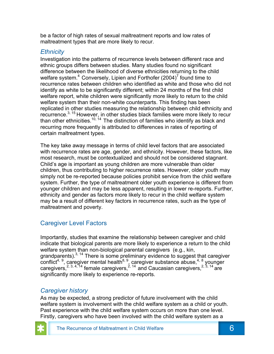be a factor of high rates of sexual maltreatment reports and low rates of maltreatment types that are more likely to recur.

#### *Ethnicity*

Investigation into the patterns of recurrence levels between different race and ethnic groups differs between studies. Many studies found no significant difference between the likelihood of diverse ethnicities returning to the child welfare system.<sup>4</sup> Conversely, Lipien and Forthofer (2004)<sup>7</sup> found time to recurrence rates between children who identified as white and those who did not identify as white to be significantly different; within 24 months of the first child welfare report, white children were significantly more likely to return to the child welfare system than their non-white counterparts. This finding has been replicated in other studies measuring the relationship between child ethnicity and recurrence.3, 15 However, in other studies black families were more likely to recur than other ethnicities.<sup>10, 14</sup> The distinction of families who identify as black and recurring more frequently is attributed to differences in rates of reporting of certain maltreatment types.

The key take away message in terms of child level factors that are associated with recurrence rates are age, gender, and ethnicity. However, these factors, like most research, must be contextualized and should not be considered stagnant. Child's age is important as young children are more vulnerable than older children, thus contributing to higher recurrence rates. However, older youth may simply not be re-reported because policies prohibit service from the child welfare system. Further, the type of maltreatment older youth experience is different from younger children and may be less apparent, resulting in lower re-reports. Further, ethnicity and gender as factors more likely to recur in the child welfare system may be a result of different key factors in recurrence rates, such as the type of maltreatment and poverty.

#### Caregiver Level Factors

Importantly, studies that examine the relationship between caregiver and child indicate that biological parents are more likely to experience a return to the child welfare system than non-biological parental caregivers (e.g., kin, grandparents).<sup>3, 14</sup> There is some preliminary evidence to suggest that caregiver  $conflict<sup>4, 9</sup>$ , caregiver mental health $8, 9$ , caregiver substance abuse, $4, 8$  younger caregivers,<sup>2, 3, 4, 14</sup> female caregivers,<sup>2, 14</sup> and Caucasian caregivers,<sup>2, 3, 14</sup> are significantly more likely to experience re-reports.

#### *Caregiver history*

As may be expected, a strong predictor of future involvement with the child welfare system is involvement with the child welfare system as a child or youth. Past experience with the child welfare system occurs on more than one level. Firstly, caregivers who have been involved with the child welfare system as a

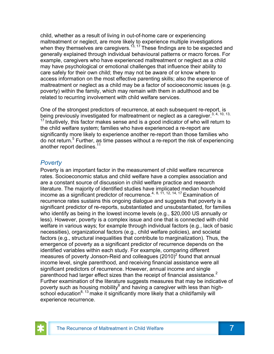child, whether as a result of living in out-of-home care or experiencing maltreatment or neglect, are more likely to experience multiple investigations when they themselves are caregivers.<sup>13, 17</sup> These findings are to be expected and generally explained through individual behavioural patterns or macro forces. For example, caregivers who have experienced maltreatment or neglect as a child may have psychological or emotional challenges that influence their ability to care safely for their own child; they may not be aware of or know where to access information on the most effective parenting skills; also the experience of maltreatment or neglect as a child may be a factor of socioeconomic issues (e.g. poverty) within the family, which may remain with them in adulthood and be related to recurring involvement with child welfare services.

One of the strongest predictors of recurrence, at each subsequent re-report, is being previously investigated for maltreatment or neglect as a caregiver.<sup>3, 4, 10, 13,</sup>  $17$  Intuitively, this factor makes sense and is a good indicator of who will return to the child welfare system; families who have experienced a re-report are significantly more likely to experience another re-report than those families who do not return.5 Further, as time passes without a re-report the risk of experiencing another report declines.<sup>11</sup>

#### *Poverty*

Poverty is an important factor in the measurement of child welfare recurrence rates. Socioeconomic status and child welfare have a complex association and are a constant source of discussion in child welfare practice and research literature. The majority of identified studies have implicated median household income as a significant predictor of recurrence.<sup>4, 8, 11, 12, 14, 17</sup> Examination of recurrence rates sustains this ongoing dialogue and suggests that poverty is a significant predictor of re-reports, substantiated and unsubstantiated, for families who identify as being in the lowest income levels (e.g., \$20,000 US annually or less). However, poverty is a complex issue and one that is connected with child welfare in various ways; for example through individual factors (e.g., lack of basic necessities), organizational factors (e.g., child welfare policies), and societal factors (e.g., structural inequalities that contribute to marginalization). Thus, the emergence of poverty as a significant predictor of recurrence depends on the identified variables within each study. For example, comparing different measures of poverty Jonson-Reid and colleagues  $(2010)^2$  found that annual income level, single parenthood, and receiving financial assistance were all significant predictors of recurrence. However, annual income and single parenthood had larger effect sizes than the receipt of financial assistance.<sup>2</sup> Further examination of the literature suggests measures that may be indicative of poverty such as housing mobility $^8$  and having a caregiver with less than highschool education<sup>8, 13</sup> make it significantly more likely that a child/family will experience recurrence.

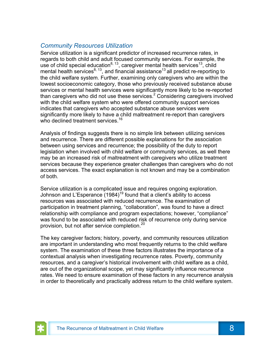#### *Community Resources Utilization*

Service utilization is a significant predictor of increased recurrence rates, in regards to both child and adult focused community services. For example, the use of child special education<sup>8, 13</sup>, caregiver mental health services<sup>13</sup>, child mental health services $^{8, 13}$ , and financial assistance<sup>13</sup> all predict re-reporting to the child welfare system. Further, examining only caregivers who are within the lowest socioeconomic category, those who previously received substance abuse services or mental health services were significantly more likely to be re-reported than caregivers who did not use these services. $2$  Considering caregivers involved with the child welfare system who were offered community support services indicates that caregivers who accepted substance abuse services were significantly more likely to have a child maltreatment re-report than caregivers who declined treatment services.<sup>16</sup>

Analysis of findings suggests there is no simple link between utilizing services and recurrence. There are different possible explanations for the association between using services and recurrence; the possibility of the duty to report legislation when involved with child welfare or community services, as well there may be an increased risk of maltreatment with caregivers who utilize treatment services because they experience greater challenges than caregivers who do not access services. The exact explanation is not known and may be a combination of both.

Service utilization is a complicated issue and requires ongoing exploration. Johnson and L'Esperance  $(1984)^{19}$  found that a client's ability to access resources was associated with reduced recurrence. The examination of participation in treatment planning, "collaboration", was found to have a direct relationship with compliance and program expectations; however, "compliance" was found to be associated with reduced risk of recurrence only during service provision, but not after service completion.<sup>20</sup>

The key caregiver factors; history, poverty, and community resources utilization are important in understanding who most frequently returns to the child welfare system. The examination of these three factors illustrates the importance of a contextual analysis when investigating recurrence rates. Poverty, community resources, and a caregiver's historical involvement with child welfare as a child, are out of the organizational scope, yet may significantly influence recurrence rates. We need to ensure examination of these factors in any recurrence analysis in order to theoretically and practically address return to the child welfare system.

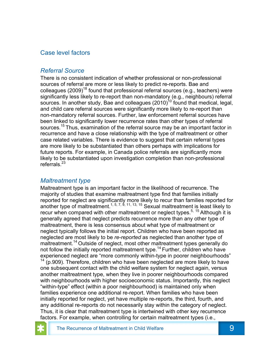#### Case level factors

#### *Referral Source*

There is no consistent indication of whether professional or non-professional sources of referral are more or less likely to predict re-reports. Bae and colleagues (2009)<sup>18</sup> found that professional referral sources (e.g., teachers) were significantly less likely to re-report than non-mandatory (e.g., neighbours) referral sources. In another study, Bae and colleagues  $(2010)^{10}$  found that medical, legal, and child care referral sources were significantly more likely to re-report than non-mandatory referral sources. Further, law enforcement referral sources have been linked to significantly lower recurrence rates than other types of referral sources.<sup>15</sup> Thus, examination of the referral source may be an important factor in recurrence and have a close relationship with the type of maltreatment or other case related variables. There is evidence to suggest that certain referral types are more likely to be substantiated than others perhaps with implications for future reports. For example, in Canada police referrals are significantly more likely to be substantiated upon investigation completion than non-professional referrals.<sup>23</sup>

#### *Maltreatment type*

Maltreatment type is an important factor in the likelihood of recurrence. The majority of studies that examine maltreatment type find that families initially reported for neglect are significantly more likely to recur than families reported for another type of maltreatment.<sup>1, 5, 7, 9, 11, 13, 15</sup> Sexual maltreatment is least likely to recur when compared with other maltreatment or neglect types.<sup>5, 15</sup> Although it is generally agreed that neglect predicts recurrence more than any other type of maltreatment, there is less consensus about what type of maltreatment or neglect typically follows the initial report. Children who have been reported as neglected are most likely to be *re-reported* as neglected than another type of maltreatment.<sup>14</sup> Outside of neglect, most other maltreatment types generally do not follow the initially reported maltreatment type.<sup>14</sup> Further, children who have experienced neglect are "more commonly within-type in poorer neighbourhoods"  $14$  (p.909). Therefore, children who have been neglected are more likely to have one subsequent contact with the child welfare system for neglect again, versus another maltreatment type, when they live in poorer neighbourhoods compared with neighbourhoods with higher socioeconomic status. Importantly, this neglect "within-type" effect (within a poor neighbourhood) is maintained only when families experience one additional re-report. When families who have been initially reported for neglect, yet have multiple re-reports, the third, fourth, and any additional re-reports do not necessarily stay within the category of neglect. Thus, it is clear that maltreatment type is intertwined with other key recurrence factors. For example, when controlling for certain maltreatment types (i.e.,

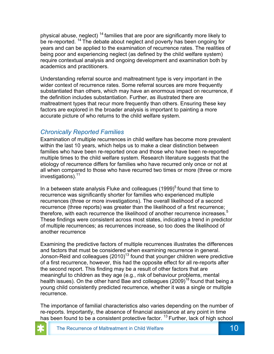physical abuse, neglect)  $14$  families that are poor are significantly more likely to be re-reported.<sup>14</sup> The debate about neglect and poverty has been ongoing for years and can be applied to the examination of recurrence rates. The realities of being poor and experiencing neglect (as defined by the child welfare system) require contextual analysis and ongoing development and examination both by academics and practitioners.

Understanding referral source and maltreatment type is very important in the wider context of recurrence rates. Some referral sources are more frequently substantiated than others, which may have an enormous impact on recurrence, if the definition includes substantiation. Further, as illustrated there are maltreatment types that recur more frequently than others. Ensuring these key factors are explored in the broader analysis is important to painting a more accurate picture of who returns to the child welfare system.

#### *Chronically Reported Families*

Examination of multiple recurrences in child welfare has become more prevalent within the last 10 years, which helps us to make a clear distinction between families who have been re-reported once and those who have been re-reported multiple times to the child welfare system. Research literature suggests that the etiology of recurrence differs for families who have recurred only once or not at all when compared to those who have recurred two times or more (three or more investigations).11

In a between state analysis Fluke and colleagues (1999)<sup>5</sup> found that time to recurrence was significantly shorter for families who experienced multiple recurrences (three or more investigations). The overall likelihood of a second recurrence (three reports) was greater than the likelihood of a first recurrence; therefore, with each recurrence the likelihood of another recurrence increases.<sup>5</sup> These findings were consistent across most states, indicating a trend in predictor of multiple recurrences; as recurrences increase, so too does the likelihood of another recurrence

Examining the predictive factors of multiple recurrences illustrates the differences and factors that must be considered when examining recurrence in general. Jonson-Reid and colleagues  $(2010)^{13}$  found that younger children were predictive of a first recurrence, however, this had the opposite effect for all re-reports after the second report. This finding may be a result of other factors that are meaningful to children as they age (e.g., risk of behaviour problems, mental health issues). On the other hand Bae and colleagues  $(2009)^{18}$  found that being a young child consistently predicted recurrence, whether it was a single or multiple recurrence.

The importance of familial characteristics also varies depending on the number of re-reports. Importantly, the absence of financial assistance at any point in time has been found to be a consistent protective factor. <sup>13</sup> Further, lack of high school

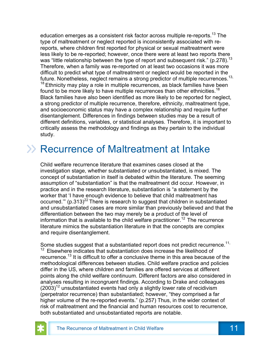education emerges as a consistent risk factor across multiple re-reports.<sup>13</sup> The type of maltreatment or neglect reported is inconsistently associated with rereports, where children first reported for physical or sexual maltreatment were less likely to be re-reported; however, once there were at least two reports there was "little relationship between the type of report and subsequent risk." (p.278).<sup>13</sup> Therefore, when a family was re-reported on at least two occasions it was more difficult to predict what type of maltreatment or neglect would be reported in the future. Nonetheless, neglect remains a strong predictor of multiple recurrences.<sup>13,</sup>  $18$  Ethnicity may play a role in multiple recurrences, as black families have been found to be more likely to have multiple recurrences than other ethnicities.<sup>18</sup> Black families have also been identified as more likely to be reported for neglect, a strong predictor of multiple recurrence, therefore, ethnicity, maltreatment type, and socioeconomic status may have a complex relationship and require further disentanglement. Differences in findings between studies may be a result of different definitions, variables, or statistical analyses. Therefore, it is important to critically assess the methodology and findings as they pertain to the individual study.

### Recurrence of Maltreatment at Intake

Child welfare recurrence literature that examines cases closed at the investigation stage, whether substantiated or unsubstantiated, is mixed. The concept of substantiation in itself is debated within the literature. The seeming assumption of "substantiation" is that the maltreatment did occur. However, in practice and in the research literature, substantiation is "a statement by the worker that 'I have enough evidence to believe that child maltreatment has occurred." (p.313) $^{22}$  There is research to suggest that children in substantiated and unsubstantiated cases are more similar than previously believed and that the differentiation between the two may merely be a product of the level of information that is available to the child welfare practitioner.<sup>12</sup> The recurrence literature mimics the substantiation literature in that the concepts are complex and require disentanglement.

Some studies suggest that a substantiated report does not predict recurrence.<sup>11,</sup>  $12$  Elsewhere indicates that substantiation does increase the likelihood of recurrence.13 It is difficult to offer a conclusive theme in this area because of the methodological differences between studies. Child welfare practice and policies differ in the US, where children and families are offered services at different points along the child welfare continuum. Different factors are also considered in analyses resulting in incongruent findings. According to Drake and colleagues  $(2003)^{12}$  unsubstantiated events had only a slightly lower rate of recidivism (perpetrator recurrence) than substantiated; however, "they comprised a far higher volume of the re-reported events." (p.257) Thus, in the wider context of risk of maltreatment and the financial and human resources cost to recurrence, both substantiated and unsubstantiated reports are notable.

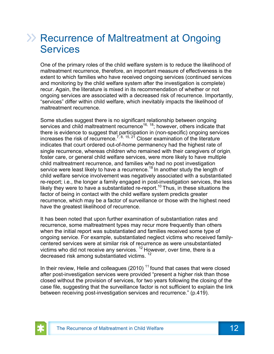### **EXA: Recurrence of Maltreatment at Ongoing Services**

One of the primary roles of the child welfare system is to reduce the likelihood of maltreatment recurrence, therefore, an important measure of effectiveness is the extent to which families who have received ongoing services (continued services and monitoring by the child welfare system after the investigation is complete) recur. Again, the literature is mixed in its recommendation of whether or not ongoing services are associated with a decreased risk of recurrence. Importantly, "services" differ within child welfare, which inevitably impacts the likelihood of maltreatment recurrence.

Some studies suggest there is no significant relationship between ongoing services and child maltreatment recurrence<sup>16, 18</sup>; however, others indicate that there is evidence to suggest that participation in (non-specific) ongoing services increases the risk of recurrence.<sup>7, 8, 15, 21</sup> Closer examination of the literature indicates that court ordered out-of-home permanency had the highest rate of single recurrence, whereas children who remained with their caregivers of origin, foster care, or general child welfare services, were more likely to have multiple child maltreatment recurrence, and families who had no post investigation service were least likely to have a recurrence.<sup>18</sup> In another study the length of child welfare service involvement was negatively associated with a substantiated re-report; i.e., the longer a family engaged in post-investigation services, the less likely they were to have a substantiated re-report.<sup>10</sup> Thus, in these situations the factor of being in contact with the child welfare system predicts greater recurrence, which may be a factor of surveillance or those with the highest need have the greatest likelihood of recurrence.

It has been noted that upon further examination of substantiation rates and recurrence, some maltreatment types may recur more frequently than others when the initial report was substantiated and families received some type of ongoing service. For example, substantiated neglect victims who received familycentered services were at similar risk of recurrence as were unsubstantiated victims who did not receive any services. <sup>12</sup> However, over time, there is a decreased risk among substantiated victims.<sup>12</sup>

In their review, Helie and colleagues (2010)  $<sup>11</sup>$  found that cases that were closed</sup> after post-investigation services were provided "present a higher risk than those closed without the provision of services, for two years following the closing of the case file, suggesting that the surveillance factor is not sufficient to explain the link between receiving post-investigation services and recurrence." (p.419).

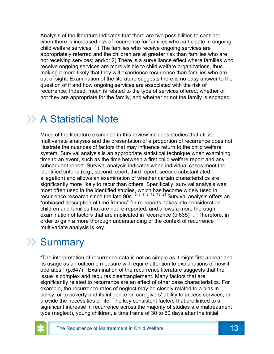Analysis of the literature indicates that there are two possibilities to consider when there is increased risk of recurrence for families who participate in ongoing child welfare services; 1) The families who receive ongoing services are appropriately referred and the children are at greater risk than families who are not receiving services; and/or 2) There is a surveillance effect where families who receive ongoing services are more visible to child welfare organizations, thus making it more likely that they will experience recurrence than families who are out of sight. Examination of the literature suggests there is no easy answer to the question of if and how ongoing services are associated with the risk of recurrence. Indeed, much is related to the type of services offered, whether or not they are appropriate for the family, and whether or not the family is engaged.

### >> A Statistical Note

Much of the literature examined in this review includes studies that utilize multivariate analyses and the presentation of a proportion of recurrence does not illustrate the nuances of factors that may influence return to the child welfare system. Survival analysis is an appropriate statistical technique when examining time to an event, such as the time between a first child welfare report and any subsequent report. Survival analysis indicates when individual cases meet the identified criteria (e.g., second report, third report, second substantiated allegation) and allows an examination of whether certain characteristics are significantly more likely to recur than others. Specifically, survival analysis was most often used in the identified studies, which has become widely used in recurrence research since the late 90s.  $^{5, 6, 7, 8, 12, 13, 21}$  Survival analysis offers an "unbiased description of time frames" for re-reports, takes into consideration children and families that are not re-reported, and allows a more thorough examination of factors that are implicated in recurrence (p.635)  $\cdot$  <sup>5</sup> Therefore, in order to gain a more thorough understanding of the context of recurrence multivariate analysis is key.

### >> Summary

"The interpretation of recurrence data is not as simple as it might first appear and its usage as an outcome measure will require attention to explanations of how it operates." (p.647)<sup>5</sup> Examination of the recurrence literature suggests that the issue is complex and requires disentanglement. Many factors that are significantly related to recurrence are an effect of other case characteristics. For example, the recurrence rates of neglect may be closely related to a bias in policy, or to poverty and its influence on caregivers' ability to access services, or provide the necessities of life. The key consistent factors that are linked to a significant increase in recurrence across the majority of studies are maltreatment type (neglect), young children, a time frame of 30 to 60 days after the initial

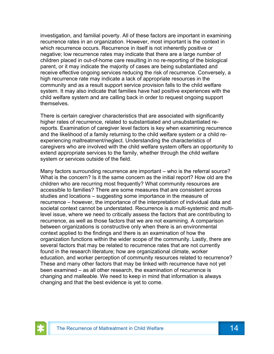investigation, and familial poverty. All of these factors are important in examining recurrence rates in an organization. However, most important is the context in which recurrence occurs. Recurrence in itself is not inherently positive or negative; low recurrence rates may indicate that there are a large number of children placed in out-of-home care resulting in no re-reporting of the biological parent, or it may indicate the majority of cases are being substantiated and receive effective ongoing services reducing the risk of recurrence. Conversely, a high recurrence rate may indicate a lack of appropriate resources in the community and as a result support service provision falls to the child welfare system. It may also indicate that families have had positive experiences with the child welfare system and are calling back in order to request ongoing support themselves.

There is certain caregiver characteristics that are associated with significantly higher rates of recurrence, related to substantiated and unsubstantiated rereports. Examination of caregiver level factors is key when examining recurrence and the likelihood of a family returning to the child welfare system or a child reexperiencing maltreatment/neglect. Understanding the characteristics of caregivers who are involved with the child welfare system offers an opportunity to extend appropriate services to the family, whether through the child welfare system or services outside of the field.

Many factors surrounding recurrence are important – who is the referral source? What is the concern? Is it the same concern as the initial report? How old are the children who are recurring most frequently? What community resources are accessible to families? There are some measures that are consistent across studies and locations – suggesting some importance in the measure of recurrence – however, the importance of the interpretation of individual data and societal context cannot be understated. Recurrence is a multi-systemic and multilevel issue, where we need to critically assess the factors that are contributing to recurrence, as well as those factors that we are not examining. A comparison between organizations is constructive only when there is an environmental context applied to the findings and there is an examination of how the organization functions within the wider scope of the community. Lastly, there are several factors that may be related to recurrence rates that are not currently found in the research literature; how are organizational climate, worker education, and worker perception of community resources related to recurrence? These and many other factors that may be linked with recurrence have not yet been examined – as all other research, the examination of recurrence is changing and malleable. We need to keep in mind that information is always changing and that the best evidence is yet to come.

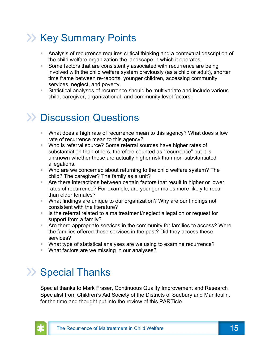# **>> Key Summary Points**

- Analysis of recurrence requires critical thinking and a contextual description of the child welfare organization the landscape in which it operates.
- Some factors that are consistently associated with recurrence are being involved with the child welfare system previously (as a child or adult), shorter time frame between re-reports, younger children, accessing community services, neglect, and poverty.
- § Statistical analyses of recurrence should be multivariate and include various child, caregiver, organizational, and community level factors.

# >> Discussion Questions

- What does a high rate of recurrence mean to this agency? What does a low rate of recurrence mean to this agency?
- Who is referral source? Some referral sources have higher rates of substantiation than others, therefore counted as "recurrence" but it is unknown whether these are actually higher risk than non-substantiated allegations.
- § Who are we concerned about returning to the child welfare system? The child? The caregiver? The family as a unit?
- Are there interactions between certain factors that result in higher or lower rates of recurrence? For example, are younger males more likely to recur than older females?
- § What findings are unique to our organization? Why are our findings not consistent with the literature?
- Is the referral related to a maltreatment/neglect allegation or request for support from a family?
- Are there appropriate services in the community for families to access? Were the families offered these services in the past? Did they access these services?
- § What type of statistical analyses are we using to examine recurrence?
- What factors are we missing in our analyses?

# >> Special Thanks

Special thanks to Mark Fraser, Continuous Quality Improvement and Research Specialist from Children's Aid Society of the Districts of Sudbury and Manitoulin, for the time and thought put into the review of this PARTicle.

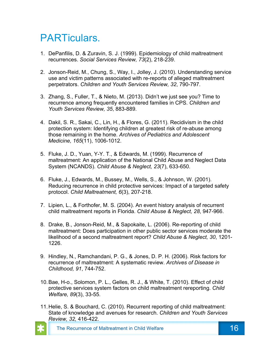## PARTiculars.

- 1. DePanfilis, D. & Zuravin, S. J. (1999). Epidemiology of child maltreatment recurrences. *Social Services Review, 73*(2), 218-239.
- 2. Jonson-Reid, M., Chung, S., Way, I., Jolley, J. (2010). Understanding service use and victim patterns associated with re-reports of alleged maltreatment perpetrators. *Children and Youth Services Review, 32*, 790-797.
- 3. Zhang, S., Fuller, T., & Nieto, M. (2013). Didn't we just see you? Time to recurrence among frequently encountered families in CPS. *Children and Youth Services Review, 35*, 883-889.
- 4. Dakil, S. R., Sakai, C., Lin, H., & Flores, G. (2011). Recidivism in the child protection system: Identifying children at greatest risk of re-abuse among those remaining in the home. *Archives of Pediatrics and Adolescent Medicine, 165*(11), 1006-1012.
- 5. Fluke, J. D., Yuan, Y-Y. T., & Edwards, M. (1999). Recurrence of maltreatment: An application of the National Child Abuse and Neglect Data System (NCANDS). *Child Abuse & Neglect, 23*(7), 633-650.
- 6. Fluke, J., Edwards, M., Bussey, M., Wells, S., & Johnson, W. (2001). Reducing recurrence in child protective services: Impact of a targeted safety protocol. *Child Maltreatment, 6*(3), 207-218.
- 7. Lipien, L., & Forthofer, M. S. (2004). An event history analysis of recurrent child maltreatment reports in Florida. *Child Abuse & Neglect, 28*, 947-966.
- 8. Drake, B., Jonson-Reid, M., & Sapokaite, L. (2006). Re-reporting of child maltreatment: Does participation in other public sector services moderate the likelihood of a second maltreatment report? *Child Abuse & Neglect, 30*, 1201- 1226.
- 9. Hindley, N., Ramchandani, P. G., & Jones, D. P. H. (2006). Risk factors for recurrence of maltreatment: A systematic review. *Archives of Disease in Childhood, 91*, 744-752.
- 10.Bae, H-o., Solomon, P. L., Gelles, R. J., & White, T. (2010). Effect of child protective services system factors on child maltreatment rereporting. *Child Welfare, 89*(3), 33-55.
- 11.Helie, S. & Bouchard, C. (2010). Recurrent reporting of child maltreatment: State of knowledge and avenues for research. *Children and Youth Services Review, 32,* 416-422.



The Recurrence of Maltreatment in Child Welfare 16 16 16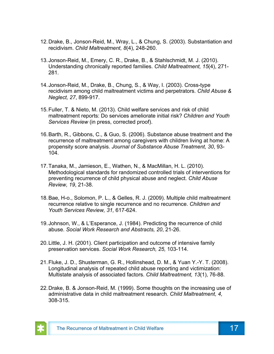- 12.Drake, B., Jonson-Reid, M., Wray, L., & Chung, S. (2003). Substantiation and recidivism. *Child Maltreatment, 8*(4), 248-260.
- 13.Jonson-Reid, M., Emery, C. R., Drake, B., & Stahlschmidt, M. J. (2010). Understanding chronically reported families. *Child Maltreatment, 15*(4), 271- 281.
- 14.Jonson-Reid, M., Drake, B., Chung, S., & Way, I. (2003). Cross-type recidivism among child maltreatment victims and perpetrators. *Child Abuse & Neglect, 27*, 899-917.
- 15.Fuller, T. & Nieto, M. (2013). Child welfare services and risk of child maltreatment reports: Do services ameliorate initial risk? *Children and Youth Services Review* (in press, corrected proof).
- 16.Barth, R., Gibbons, C., & Guo, S. (2006). Substance abuse treatment and the recurrence of maltreatment among caregivers with children living at home: A propensity score analysis. *Journal of Substance Abuse Treatment, 30*, 93- 104.
- 17.Tanaka, M., Jamieson, E., Wathen, N., & MacMillan, H. L. (2010). Methodological standards for randomized controlled trials of interventions for preventing recurrence of child physical abuse and neglect. *Child Abuse Review, 19*, 21-38.
- 18.Bae, H-o., Solomon, P. L., & Gelles, R. J. (2009). Multiple child maltreatment recurrence relative to single recurrence and no recurrence. *Children and Youth Services Review, 31,* 617-624.
- 19.Johnson, W., & L'Esperance, J. (1984). Predicting the recurrence of child abuse. *Social Work Research and Abstracts, 20*, 21-26.
- 20.Little, J. H. (2001). Client participation and outcome of intensive family preservation services. *Social Work Research, 25,* 103-114.
- 21.Fluke, J. D., Shusterman, G. R., Hollinshead, D. M., & Yuan Y.-Y. T. (2008). Longitudinal analysis of repeated child abuse reporting and victimization: Multistate analysis of associated factors. *Child Maltreatment, 13*(1), 76-88.
- 22.Drake, B. & Jonson-Reid, M. (1999). Some thoughts on the increasing use of administrative data in child maltreatment research. *Child Maltreatment, 4,*  308-315.